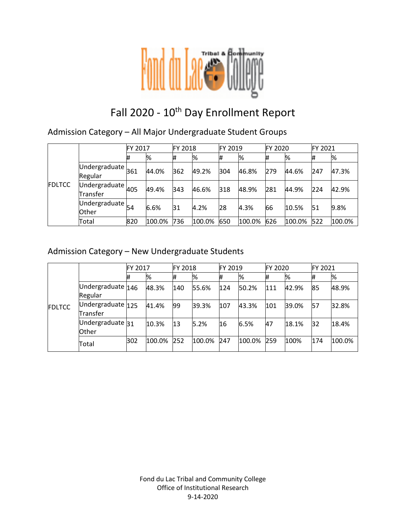

# Fall 2020 - 10<sup>th</sup> Day Enrollment Report

Admission Category – All Major Undergraduate Student Groups

|               |                                                    | FY 2017 |        | <b>FY 2018</b> |        | <b>FY 2019</b> |        | <b>FY 2020</b> |        | <b>FY 2021</b> |        |
|---------------|----------------------------------------------------|---------|--------|----------------|--------|----------------|--------|----------------|--------|----------------|--------|
| <b>FDLTCC</b> |                                                    | #       | %      | #              | %      | #              | %      | l#             | %      | #              | %      |
|               | $\overline{\textsf{Undergraduate}}$ 361<br>Regular |         | 44.0%  | 362            | 49.2%  | 304            | 46.8%  | 279            | 44.6%  | 247            | 47.3%  |
|               | Undergraduate $405$<br>Transfer                    |         | 49.4%  | 343            | 46.6%  | 318            | 48.9%  | 281            | 44.9%  | 224            | 42.9%  |
|               | Undergraduate $_{54}$<br><b>Other</b>              |         | 6.6%   | 31             | 4.2%   | 28             | 4.3%   | 66             | 10.5%  | 51             | 9.8%   |
|               | Total                                              | 820     | 100.0% | 736            | 100.0% | 650            | 100.0% | 626            | 100.0% | 522            | 100.0% |

### Admission Category – New Undergraduate Students

|               |                               | FY 2017 |        | <b>FY 2018</b> |        | <b>FY 2019</b> |        | <b>FY 2020</b> |       | FY 2021 |        |
|---------------|-------------------------------|---------|--------|----------------|--------|----------------|--------|----------------|-------|---------|--------|
|               |                               | #       | %      |                | %      | #              | %      | #              | %     | #       | %      |
| <b>FDLTCC</b> | Undergraduate 146<br>Regular  |         | 48.3%  | 140            | 55.6%  | 124            | 50.2%  | 111            | 42.9% | 85      | 48.9%  |
|               | Undergraduate 125<br>Transfer |         | 41.4%  | 99             | 39.3%  | 107            | 43.3%  | 101            | 39.0% | 57      | 32.8%  |
|               | Undergraduate 31<br>Other     |         | 10.3%  | 13             | 5.2%   | 16             | 6.5%   | 47             | 18.1% | 32      | 18.4%  |
|               | Total                         | 302     | 100.0% | 252            | 100.0% | 247            | 100.0% | 259            | 100%  | 174     | 100.0% |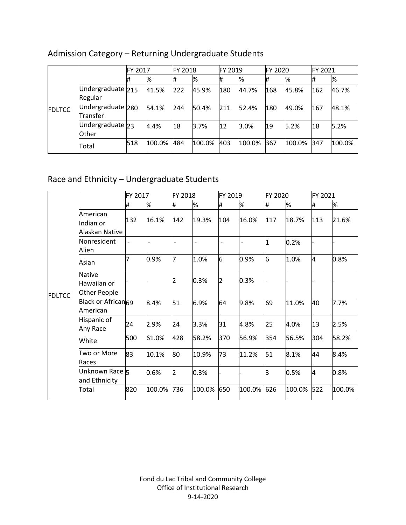|               |                               | <b>FY 2017</b> |        | <b>FY 2018</b> |        | FY 2019 |        | FY 2020 |        | FY 2021 |        |
|---------------|-------------------------------|----------------|--------|----------------|--------|---------|--------|---------|--------|---------|--------|
| <b>FDLTCC</b> |                               | #              | %      |                | %      | #       | %      | #       | %      |         | %      |
|               | Undergraduate 215<br>Regular  |                | 41.5%  | 222            | 45.9%  | 180     | 44.7%  | 168     | 45.8%  | 162     | 46.7%  |
|               | Undergraduate 280<br>Transfer |                | 54.1%  | 244            | 50.4%  | 211     | 52.4%  | 180     | 49.0%  | 167     | 48.1%  |
|               | Undergraduate 23<br>Other     |                | 4.4%   | 18             | 3.7%   | 12      | 3.0%   | 19      | 5.2%   | 18      | 5.2%   |
|               | Total                         | 518            | 100.0% | 484            | 100.0% | 403     | 100.0% | 367     | 100.0% | 347     | 100.0% |

# Admission Category – Returning Undergraduate Students

# Race and Ethnicity – Undergraduate Students

|               |                                              | FY 2017 |        | FY 2018 |                | FY 2019 |        | FY 2020 |        | FY 2021 |        |
|---------------|----------------------------------------------|---------|--------|---------|----------------|---------|--------|---------|--------|---------|--------|
| <b>FDLTCC</b> |                                              | #       | %      | #       | %              | #       | %      | #       | %      | #       | %      |
|               | American<br>Indian or<br>Alaskan Native      | 132     | 16.1%  | 142     | 19.3%          | 104     | 16.0%  | 117     | 18.7%  | 113     | 21.6%  |
|               | Nonresident<br>Alien                         |         |        |         | $\overline{a}$ |         |        | 1       | 0.2%   |         |        |
|               | Asian                                        | 7       | 0.9%   | 7       | 1.0%           | 6       | 0.9%   | 6       | 1.0%   | 4       | 0.8%   |
|               | <b>Native</b><br>Hawaiian or<br>Other People |         |        | D       | 0.3%           | 2       | 0.3%   |         |        |         |        |
|               | Black or African <sub>69</sub><br>American   |         | 8.4%   | 51      | 6.9%           | 64      | 9.8%   | 69      | 11.0%  | 40      | 7.7%   |
|               | Hispanic of<br>Any Race                      | 24      | 2.9%   | 24      | 3.3%           | 31      | 4.8%   | 25      | 4.0%   | 13      | 2.5%   |
|               | White                                        | 500     | 61.0%  | 428     | 58.2%          | 370     | 56.9%  | 354     | 56.5%  | 304     | 58.2%  |
|               | Two or More<br>Races                         | 83      | 10.1%  | 80      | 10.9%          | 73      | 11.2%  | 51      | 8.1%   | 44      | 8.4%   |
|               | Unknown Race 5<br>and Ethnicity              |         | 0.6%   | 2       | 0.3%           |         |        | lз      | 0.5%   | 4       | 0.8%   |
|               | Total                                        | 820     | 100.0% | 736     | 100.0%         | 650     | 100.0% | 626     | 100.0% | 522     | 100.0% |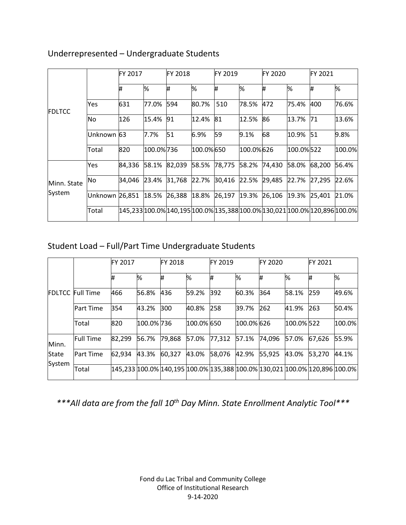|               |                | <b>FY 2017</b> |           | FY 2018 |           | FY 2019                                                                    |           | <b>FY 2020</b> |           | FY 2021 |        |
|---------------|----------------|----------------|-----------|---------|-----------|----------------------------------------------------------------------------|-----------|----------------|-----------|---------|--------|
| <b>FDLTCC</b> |                | Ħ,             | %         | ₩       | %         | ₩                                                                          | %         | #              | l%        | #       | %      |
|               | Yes            | 631            | 77.0%     | 594     | 80.7%     | 510                                                                        | 78.5%     | 472            | 75.4%     | 400     | 76.6%  |
|               | No.            | 126            | 15.4%     | 91      | 12.4%     | 81                                                                         | 12.5%     | 86             | 13.7%     | 71      | 13.6%  |
|               | Unknown 63     |                | 7.7%      | 51      | 6.9%      | 59                                                                         | 9.1%      | 68             | 10.9% 51  |         | 9.8%   |
|               | Total          | 820            | 100.0%736 |         | 100.0%650 |                                                                            | 100.0%626 |                | 100.0%522 |         | 100.0% |
|               | Yes            | 84,336         | 58.1%     | 82,039  | 58.5%     | 78,775                                                                     | 58.2%     | 74,430         | 58.0%     | 68,200  | 56.4%  |
| Minn. State   | No             | 34,046         | 23.4%     | 31,768  | 22.7%     | 30,416                                                                     | 22.5%     | 29,485         | 22.7%     | 27,295  | 22.6%  |
| System        | Unknown 26,851 |                | 18.5%     | 26,388  |           | 18.8% 26,197                                                               | 19.3%     | 26,106         | 19.3%     | 25,401  | 21.0%  |
|               | Total          |                |           |         |           | 145,233 100.0% 140,195 100.0% 135,388 100.0% 130,021 100.0% 120,896 100.0% |           |                |           |         |        |

### Underrepresented – Undergraduate Students

# Student Load – Full/Part Time Undergraduate Students

|        |                         | <b>FY 2017</b> |            | <b>FY 2018</b> |            | FY 2019 |            | FY 2020 |            | FY 2021                                                                             |        |
|--------|-------------------------|----------------|------------|----------------|------------|---------|------------|---------|------------|-------------------------------------------------------------------------------------|--------|
|        |                         | #              | ℅          | #              | %          | #       | %          | #       | ℅          | #                                                                                   | %      |
|        | <b>FDLTCC Full Time</b> | 466            | 56.8%      | 436            | 59.2%      | 392     | 60.3%      | 364     | 58.1%      | 259                                                                                 | 49.6%  |
|        | <b>Part Time</b>        | 354            | 43.2%      | 300            | 40.8%      | 258     | 39.7%      | 262     | 41.9%      | 263                                                                                 | 50.4%  |
|        | Total                   | 820            | 100.0% 736 |                | 100.0% 650 |         | 100.0% 626 |         | 100.0% 522 |                                                                                     | 100.0% |
| Minn.  | <b>Full Time</b>        | 82,299         | 56.7%      | 79,868         | 57.0%      | 77,312  | 57.1%      | 74.096  | 57.0%      | 67,626                                                                              | 55.9%  |
| State  | <b>Part Time</b>        | 62,934         | 43.3%      | 60,327         | 43.0%      | 58,076  | 42.9%      | 55,925  | 43.0%      | 53,270                                                                              | 44.1%  |
| System | Total                   |                |            |                |            |         |            |         |            | 145,233  100.0%  140,195  100.0%  135,388  100.0%  130,021  100.0%  120,896  100.0% |        |

*\*\*\*All data are from the fall 10th Day Minn. State Enrollment Analytic Tool\*\*\**